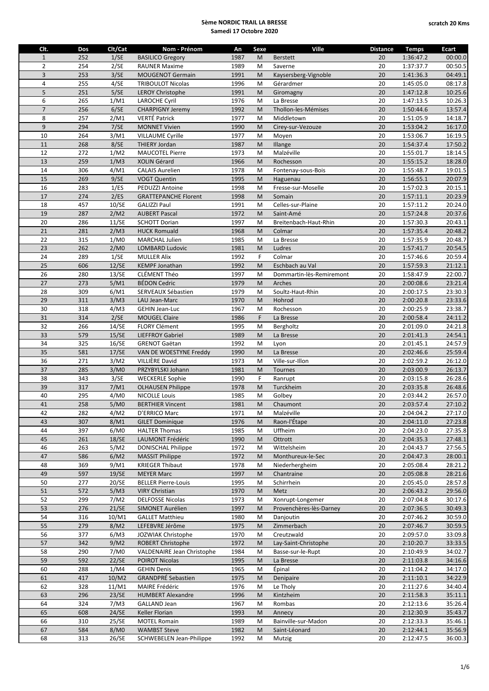| Clt.           | Dos | Clt/Cat | Nom - Prénom                    | An   | Sexe | <b>Ville</b>             | <b>Distance</b> | <b>Temps</b> | <b>Ecart</b> |
|----------------|-----|---------|---------------------------------|------|------|--------------------------|-----------------|--------------|--------------|
| $\mathbf{1}$   | 252 | 1/SE    | <b>BASILICO Gregory</b>         | 1987 | M    | <b>Berstett</b>          | 20              | 1:36:47.2    | 00:00.0      |
| $\overline{2}$ | 254 | 2/SE    | <b>RAUNER Maxime</b>            | 1989 | M    | Saverne                  | 20              | 1:37:37.7    | 00:50.5      |
| $\overline{3}$ | 253 | 3/SE    | <b>MOUGENOT Germain</b>         | 1991 | M    | Kaysersberg-Vignoble     | 20              | 1:41:36.3    | 04:49.1      |
| $\overline{4}$ | 255 | 4/SE    | <b>TRIBOULOT Nicolas</b>        | 1996 | M    | Gérardmer                | 20              | 1:45:05.0    | 08:17.8      |
| 5              | 251 | 5/SE    | <b>LEROY Christophe</b>         | 1991 | M    | Giromagny                | 20              | 1:47:12.8    | 10:25.6      |
| 6              | 265 | 1/M1    | <b>LAROCHE Cyril</b>            | 1976 | M    | La Bresse                | 20              | 1:47:13.5    | 10:26.3      |
| $\overline{7}$ | 256 | 6/SE    | <b>CHARPIGNY Jeremy</b>         | 1992 | M    | Thollon-les-Mémises      | 20              | 1:50:44.6    | 13:57.4      |
| 8              | 257 | 2/M1    | <b>VERTÉ Patrick</b>            | 1977 | M    | Middletown               | 20              | 1:51:05.9    | 14:18.7      |
| 9              | 294 | 7/SE    | <b>MONNET Vivien</b>            | 1990 | M    | Cirey-sur-Vezouze        | 20              | 1:53:04.2    | 16:17.0      |
| 10             | 264 | 3/M1    | <b>VILLAUME Cyrille</b>         | 1977 | M    | Moyen                    | 20              | 1:53:06.7    | 16:19.5      |
| 11             | 268 | 8/SE    | <b>THIERY Jordan</b>            | 1987 | M    | Illange                  | 20              | 1:54:37.4    | 17:50.2      |
| 12             | 272 | 1/M2    | <b>MAUCOTEL Pierre</b>          | 1973 | M    | Malzéville               | 20              | 1:55:01.7    | 18:14.5      |
| 13             | 259 | 1/M3    | XOLIN Gérard                    | 1966 | M    | Rochesson                | 20              | 1:55:15.2    | 18:28.0      |
| 14             | 306 | 4/M1    | <b>CALAIS Aurelien</b>          | 1978 | M    | Fontenay-sous-Bois       | 20              | 1:55:48.7    | 19:01.5      |
| 15             | 269 | 9/SE    | <b>VOGT Quentin</b>             | 1995 | M    | Haguenau                 | 20              | 1:56:55.1    | 20:07.9      |
| 16             | 283 | 1/ES    | PEDUZZI Antoine                 | 1998 | M    | Fresse-sur-Moselle       | 20              | 1:57:02.3    | 20:15.1      |
| 17             | 274 | 2/ES    | <b>GRATTEPANCHE Florent</b>     | 1998 | M    | Somain                   | 20              | 1:57:11.1    | 20:23.9      |
| 18             | 457 | 10/SE   | GALIZZI Paul                    | 1991 | M    | Celles-sur-Plaine        | 20              | 1:57:11.2    | 20:24.0      |
| 19             | 287 | 2/M2    | <b>AUBERT Pascal</b>            | 1972 | M    | Saint-Amé                | 20              | 1:57:24.8    | 20:37.6      |
| 20             | 286 | 11/SE   | <b>SCHOTT Dorian</b>            | 1997 | M    | Breitenbach-Haut-Rhin    | 20              | 1:57:30.3    | 20:43.1      |
| 21             | 281 | 2/M3    | <b>HUCK Romuald</b>             | 1968 | M    | Colmar                   | 20              | 1:57:35.4    | 20:48.2      |
| 22             | 315 | 1/M0    | <b>MARCHAL Julien</b>           | 1985 | M    | La Bresse                | 20              | 1:57:35.9    | 20:48.7      |
| 23             | 262 | 2/M0    | <b>LOMBARD Ludovic</b>          | 1981 | M    | Ludres                   | 20              | 1:57:41.7    | 20:54.5      |
| 24             | 289 | 1/SE    | <b>MULLER Alix</b>              | 1992 | F    | Colmar                   | 20              | 1:57:46.6    | 20:59.4      |
| 25             | 606 | 12/SE   | <b>KEMPF Jonathan</b>           | 1992 | M    | Eschbach au Val          | 20              | 1:57:59.3    | 21:12.1      |
| 26             | 280 | 13/SE   | CLÉMENT Théo                    | 1997 | M    | Dommartin-lès-Remiremont | 20              | 1:58:47.9    | 22:00.7      |
| 27             | 273 | 5/M1    | <b>BÉDON Cedric</b>             | 1979 | M    | Arches                   | 20              | 2:00:08.6    | 23:21.4      |
| 28             | 309 | 6/M1    | SERVEAUX Sébastien              | 1979 | M    | Soultz-Haut-Rhin         | 20              | 2:00:17.5    | 23:30.3      |
| 29             | 311 | 3/M3    | LAU Jean-Marc                   | 1970 | M    | Hohrod                   | 20              | 2:00:20.8    | 23:33.6      |
| 30             | 318 | 4/M3    | GEHIN Jean-Luc                  | 1967 | M    | Rochesson                | 20              | 2:00:25.9    | 23:38.7      |
| 31             | 314 | 2/SE    | <b>MOUGEL Claire</b>            | 1986 | F    | La Bresse                | 20              | 2:00:58.4    | 24:11.2      |
| 32             | 266 | 14/SE   | <b>FLORY Clément</b>            | 1995 | M    | Bergholtz                | 20              | 2:01:09.0    | 24:21.8      |
| 33             | 579 | 15/SE   | <b>LIEFFROY Gabriel</b>         | 1989 | M    | La Bresse                | 20              | 2:01:41.3    | 24:54.1      |
| 34             | 325 | 16/SE   | <b>GRENOT Gaëtan</b>            | 1992 | M    | Lyon                     | 20              | 2:01:45.1    | 24:57.9      |
| 35             | 581 | 17/SE   | VAN DE WOESTYNE Freddy          | 1990 | M    | La Bresse                | 20              | 2:02:46.6    | 25:59.4      |
| 36             | 271 | 3/M2    | VILLIÈRE David                  | 1973 | M    | Ville-sur-Illon          | 20              | 2:02:59.2    | 26:12.0      |
| 37             | 285 | 3/M0    | PRZYBYLSKI Johann               | 1981 | M    | Tournes                  | 20              | 2:03:00.9    | 26:13.7      |
| 38             | 343 | 3/SE    | <b>WECKERLE Sophie</b>          | 1990 | F    | Ranrupt                  | 20              | 2:03:15.8    | 26:28.6      |
| 39             | 317 | 7/M1    | <b>OLHAUSEN Philippe</b>        | 1978 | M    | Turckheim                | 20              | 2:03:35.8    | 26:48.6      |
| 40             | 295 | 4/M0    | <b>NICOLLE Louis</b>            | 1985 | M    | Golbey                   | 20              | 2:03:44.2    | 26:57.0      |
| 41             | 258 | 5/M0    | <b>BERTHIER Vincent</b>         | 1981 | M    | Chaumont                 | 20              | 2:03:57.4    | 27:10.2      |
| 42             | 282 | 4/M2    | D'ERRICO Marc                   | 1971 | M    | Malzéville               | 20              | 2:04:04.2    | 27:17.0      |
| 43             | 307 | 8/M1    | <b>GILET Dominique</b>          | 1976 | M    | Raon-l'Étape             | 20              | 2:04:11.0    | 27:23.8      |
| 44             | 397 | 6/M0    | <b>HALTER Thomas</b>            | 1985 | M    | Uffheim                  | 20              | 2:04:23.0    | 27:35.8      |
| 45             | 261 | 18/SE   | LAUMONT Frédéric                | 1990 | M    | Ottrott                  | 20              | 2:04:35.3    | 27:48.1      |
| 46             | 263 | 5/M2    | <b>DONISCHAL Philippe</b>       | 1972 | M    | Wittelsheim              | 20              | 2:04:43.7    | 27:56.5      |
| 47             | 586 | 6/M2    | <b>MASSIT Philippe</b>          | 1972 | M    | Monthureux-le-Sec        | 20              | 2:04:47.3    | 28:00.1      |
| 48             | 369 | 9/M1    | <b>KRIEGER Thibaut</b>          | 1978 | M    | Niederhergheim           | 20              | 2:05:08.4    | 28:21.2      |
| 49             | 597 | 19/SE   | <b>MEYER Marc</b>               | 1997 | M    | Chantraine               | 20              | 2:05:08.8    | 28:21.6      |
| 50             | 277 | 20/SE   | <b>BELLER Pierre-Louis</b>      | 1995 | M    | Schirrhein               | 20              | 2:05:45.0    | 28:57.8      |
| 51             | 572 | 5/M3    | <b>VIRY Christian</b>           | 1970 | M    | Metz                     | 20              | 2:06:43.2    | 29:56.0      |
| 52             | 299 | 7/M2    | <b>DELFOSSE Nicolas</b>         | 1973 | M    | Xonrupt-Longemer         | 20              | 2:07:04.8    | 30:17.6      |
| 53             | 276 | 21/SE   | SIMONET Aurélien                | 1997 | M    | Provenchères-lès-Darney  | 20              | 2:07:36.5    | 30:49.3      |
| 54             | 316 | 10/M1   | <b>GALLET Matthieu</b>          | 1980 | M    | Danjoutin                | 20              | 2:07:46.2    | 30:59.0      |
| 55             | 279 | 8/M2    | LEFEBVRE Jérôme                 | 1975 | M    | Zimmerbach               | 20              | 2:07:46.7    | 30:59.5      |
| 56             | 377 | 6/M3    | JOZWIAK Christophe              | 1970 | M    | Creutzwald               | 20              | 2:09:57.0    | 33:09.8      |
| 57             | 342 | 9/M2    | <b>ROBERT Christophe</b>        | 1972 | M    | Lay-Saint-Christophe     | 20              | 2:10:20.7    | 33:33.5      |
| 58             | 290 | 7/M0    | VALDENAIRE Jean Christophe      | 1984 | M    | Basse-sur-le-Rupt        | 20              | 2:10:49.9    | 34:02.7      |
| 59             | 592 | 22/SE   | <b>POIROT Nicolas</b>           | 1995 | M    | La Bresse                | 20              | 2:11:03.8    | 34:16.6      |
| 60             | 288 | 1/M4    | <b>GEHIN Denis</b>              | 1965 | M    | Épinal                   | 20              | 2:11:04.2    | 34:17.0      |
| 61             | 417 | 10/M2   | <b>GRANDPRÉ Sebastien</b>       | 1975 | M    | Denipaire                | 20              | 2:11:10.1    | 34:22.9      |
| 62             | 328 | 11/M1   | MAIRE Frédéric                  | 1976 | M    | Le Tholy                 | 20              | 2:11:27.6    | 34:40.4      |
| 63             | 296 | 23/SE   | <b>HUMBERT Alexandre</b>        | 1996 | M    | Kintzheim                | 20              | 2:11:58.3    | 35:11.1      |
| 64             | 324 | 7/M3    | <b>GALLAND Jean</b>             | 1967 | M    | Rombas                   | 20              | 2:12:13.6    | 35:26.4      |
| 65             | 608 | 24/SE   | Keller Florian                  | 1993 | M    | Annecy                   | 20              | 2:12:30.9    | 35:43.7      |
| 66             | 310 | 25/SE   | <b>MOTEL Romain</b>             | 1989 | M    | Bainville-sur-Madon      | 20              | 2:12:33.3    | 35:46.1      |
| 67             | 584 | 8/M0    | <b>WAMBST Steve</b>             | 1982 | M    | Saint-Léonard            | 20              | 2:12:44.1    | 35:56.9      |
| 68             | 313 | 26/SE   | <b>SCHWEBELEN Jean-Philippe</b> | 1992 | M    | Mutzig                   | 20              | 2:12:47.5    | 36:00.3      |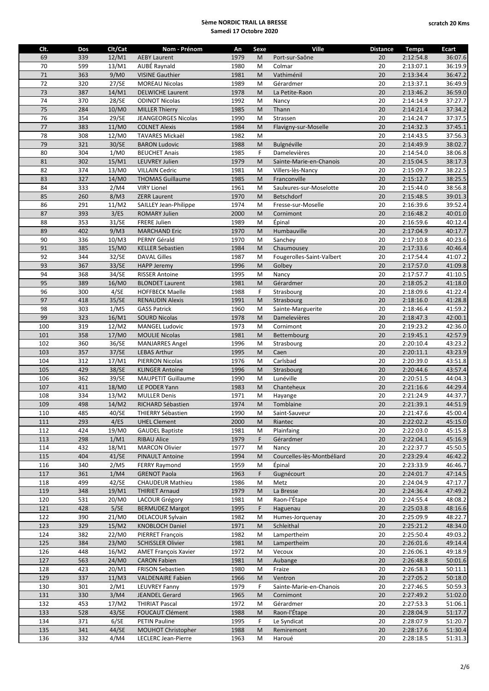| Clt. | Dos | Clt/Cat        | Nom - Prénom                                  | An   | Sexe                                                                                                       | Ville                      | <b>Distance</b> | <b>Temps</b>           | Ecart              |
|------|-----|----------------|-----------------------------------------------|------|------------------------------------------------------------------------------------------------------------|----------------------------|-----------------|------------------------|--------------------|
| 69   | 339 | 12/M1          | <b>AEBY Laurent</b>                           | 1979 | M                                                                                                          | Port-sur-Saône             | 20              | 2:12:54.8              | 36:07.6            |
| 70   | 599 | 13/M1          | AUBÉ Raynald                                  | 1980 | M                                                                                                          | Colmar                     | 20              | 2:13:07.1              | 36:19.9            |
| 71   | 363 | 9/M0           | <b>VISINE Gauthier</b>                        | 1981 | M                                                                                                          | Vathiménil                 | 20              | 2:13:34.4              | 36:47.2            |
| 72   | 320 | 27/SE          | <b>MOREAU Nicolas</b>                         | 1989 | M                                                                                                          | Gérardmer                  | 20              | 2:13:37.1              | 36:49.9            |
| 73   | 387 | 14/M1          | <b>DELWICHE Laurent</b>                       | 1978 | M                                                                                                          | La Petite-Raon             | 20              | 2:13:46.2              | 36:59.0            |
| 74   | 370 | 28/SE          | <b>ODINOT Nicolas</b>                         | 1992 | M                                                                                                          | Nancy                      | 20              | 2:14:14.9              | 37:27.7            |
| 75   | 284 | 10/M0          | <b>MILLER Thierry</b>                         | 1985 | M                                                                                                          | Thann                      | 20              | 2:14:21.4              | 37:34.2            |
| 76   | 354 | 29/SE          | JEANGEORGES Nicolas                           | 1990 | M                                                                                                          | Strassen                   | 20              | 2:14:24.7              | 37:37.5            |
| 77   | 383 | 11/M0          | <b>COLNET Alexis</b>                          | 1984 | M                                                                                                          | Flavigny-sur-Moselle       | 20              | 2:14:32.3              | 37:45.1            |
| 78   | 308 | 12/M0          | TAVARES Mickaël                               | 1982 | M                                                                                                          |                            | 20              | 2:14:43.5              | 37:56.3            |
| 79   | 321 | 30/SE          | <b>BARON Ludovic</b>                          | 1988 | M                                                                                                          | Bulgnéville                | 20              | 2:14:49.9              | 38:02.7            |
| 80   | 304 | 1/M0           | <b>BEUCHET Anais</b>                          | 1985 | F                                                                                                          | Damelevières               | 20              | 2:14:54.0              | 38:06.8            |
| 81   | 302 | 15/M1          | <b>LEUVREY Julien</b>                         | 1979 | M                                                                                                          | Sainte-Marie-en-Chanois    | 20              | 2:15:04.5              | 38:17.3            |
| 82   | 374 | 13/M0          | <b>VILLAIN Cedric</b>                         | 1981 | M                                                                                                          | Villers-lès-Nancy          | 20              | 2:15:09.7              | 38:22.5            |
| 83   | 327 | 14/M0          | <b>THOMAS Guillaume</b>                       | 1985 | M                                                                                                          | Franconville               | 20              | 2:15:12.7              | 38:25.5            |
| 84   | 333 | 2/M4           | <b>VIRY Lionel</b>                            | 1961 | M                                                                                                          | Saulxures-sur-Moselotte    | 20              | 2:15:44.0              | 38:56.8            |
| 85   | 260 | 8/M3           | <b>ZERR Laurent</b>                           | 1970 | M                                                                                                          | <b>Betschdorf</b>          | 20              | 2:15:48.5              | 39:01.3            |
| 86   | 291 | 11/M2          | SAILLEY Jean-Philippe                         | 1974 | M                                                                                                          | Fresse-sur-Moselle         | 20              | 2:16:39.6              | 39:52.4            |
| 87   | 393 | 3/ES           | ROMARY Julien                                 | 2000 | M                                                                                                          | Cornimont                  | 20              | 2:16:48.2              | 40:01.0            |
| 88   | 353 | 31/SE          | <b>FRERE Julien</b>                           | 1989 | M                                                                                                          | Épinal                     | 20              | 2:16:59.6              | 40:12.4            |
| 89   | 402 | 9/M3           | <b>MARCHAND Eric</b>                          | 1970 | M                                                                                                          | Humbauville                | 20              | 2:17:04.9              | 40:17.7            |
| 90   | 336 | 10/M3          | PERNY Gérald                                  | 1970 | M                                                                                                          | Sanchey                    | 20              | 2:17:10.8              | 40:23.6            |
| 91   | 385 | 15/M0          | <b>KELLER Sebastien</b>                       | 1984 | M                                                                                                          | Chaumousey                 | 20              | 2:17:33.6              | 40:46.4            |
| 92   | 344 | 32/SE          | <b>DAVAL Gilles</b>                           | 1987 | M                                                                                                          | Fougerolles-Saint-Valbert  | 20              | 2:17:54.4              | 41:07.2            |
| 93   | 367 | 33/SE          | <b>HAPP Jeremy</b>                            | 1996 | M                                                                                                          | Golbey                     | 20              | 2:17:57.0              | 41:09.8            |
| 94   | 368 | 34/SE          | <b>RISSER Antoine</b>                         | 1995 | M                                                                                                          | Nancy                      | 20              | 2:17:57.7              | 41:10.5            |
| 95   | 389 | 16/M0          | <b>BLONDET Laurent</b>                        | 1981 | M                                                                                                          | Gérardmer                  | 20              | 2:18:05.2              | 41:18.0            |
| 96   | 300 | 4/SE           | <b>HOFFBECK Maelle</b>                        | 1988 | F                                                                                                          | Strasbourg                 | 20              | 2:18:09.6              | 41:22.4            |
| 97   | 418 | 35/SE          | <b>RENAUDIN Alexis</b>                        | 1991 | M                                                                                                          | Strasbourg                 | 20              | 2:18:16.0              | 41:28.8            |
| 98   | 303 | 1/M5           | <b>GASS Patrick</b>                           | 1960 | M                                                                                                          | Sainte-Marguerite          | 20              | 2:18:46.4              | 41:59.2            |
| 99   | 323 | 16/M1          | <b>SOURD Nicolas</b>                          | 1978 | M                                                                                                          | Damelevières               | 20              | 2:18:47.3              | 42:00.1            |
| 100  | 319 | 12/M2          | <b>MANGEL Ludovic</b>                         | 1973 | M                                                                                                          | Cornimont                  | 20              | 2:19:23.2              | 42:36.0            |
| 101  | 358 | 17/M0          | <b>MOULIE Nicolas</b>                         | 1981 | M                                                                                                          | Bettembourg                | 20              | 2:19:45.1              | 42:57.9            |
| 102  | 360 | 36/SE          | <b>MANJARRES Angel</b>                        | 1996 | M                                                                                                          | Strasbourg                 | 20              | 2:20:10.4              | 43:23.2            |
| 103  | 357 | 37/SE          | <b>LEBAS Arthur</b>                           | 1995 | M                                                                                                          | Caen                       | 20              | 2:20:11.1              | 43:23.9            |
| 104  | 312 | 17/M1          | PIERRON Nicolas                               | 1976 | M                                                                                                          | Carlsbad                   | 20              | 2:20:39.0              | 43:51.8            |
| 105  | 429 | 38/SE          | <b>KLINGER Antoine</b>                        | 1996 | M                                                                                                          | Strasbourg                 | 20              | 2:20:44.6              | 43:57.4            |
| 106  | 362 | 39/SE          |                                               | 1990 | M                                                                                                          | Lunéville                  | 20              | 2:20:51.5              |                    |
| 107  | 411 | 18/M0          | <b>MAUPETIT Guillaume</b><br>LE PODER Yann    | 1983 | M                                                                                                          |                            | 20              |                        | 44:04.3<br>44:29.4 |
| 108  | 334 |                |                                               |      |                                                                                                            | Chanteheux                 | 20              | 2:21:16.6<br>2:21:24.9 | 44:37.7            |
| 109  | 498 | 13/M2          | <b>MULLER Denis</b>                           | 1971 | M<br>M                                                                                                     | Hayange<br>Tomblaine       | 20              |                        |                    |
| 110  | 485 | 14/M2<br>40/SE | RICHARD Sébastien<br><b>THIERRY Sébastien</b> | 1974 | $\mathsf{M}% _{T}=\mathsf{M}_{T}\!\left( a,b\right) ,\ \mathsf{M}_{T}=\mathsf{M}_{T}\!\left( a,b\right) ,$ | Saint-Sauveur              | 20              | 2:21:39.1<br>2:21:47.6 | 44:51.9<br>45:00.4 |
|      |     |                |                                               | 1990 |                                                                                                            |                            |                 |                        |                    |
| 111  | 293 | 4/ES           | <b>UHEL Clement</b>                           | 2000 | M                                                                                                          | Riantec                    | 20              | 2:22:02.2              | 45:15.0            |
| 112  | 424 | 19/M0          | <b>GAUDEL Baptiste</b>                        | 1981 | M<br>F.                                                                                                    | Plainfaing<br>Gérardmer    | 20              | 2:22:03.0              | 45:15.8            |
| 113  | 298 | 1/M1           | <b>RIBAU Alice</b>                            | 1979 |                                                                                                            |                            | 20              | 2:22:04.1              | 45:16.9            |
| 114  | 432 | 18/M1          | <b>MARCON Olivier</b>                         | 1977 | M                                                                                                          | Nancy                      | 20              | 2:22:37.7              | 45:50.5            |
| 115  | 404 | 41/SE          | <b>PINAULT Antoine</b>                        | 1994 | M                                                                                                          | Courcelles-lès-Montbéliard | 20              | 2:23:29.4              | 46:42.2            |
| 116  | 340 | 2/M5           | <b>FERRY Raymond</b>                          | 1959 | M                                                                                                          | Épinal                     | 20              | 2:23:33.9              | 46:46.7            |
| 117  | 361 | 1/M4           | <b>GRENOT Paola</b>                           | 1963 | F                                                                                                          | Gugnécourt                 | 20              | 2:24:01.7              | 47:14.5            |
| 118  | 499 | 42/SE          | <b>CHAUDEUR Mathieu</b>                       | 1986 | M                                                                                                          | Metz                       | 20              | 2:24:04.9              | 47:17.7            |
| 119  | 348 | 19/M1          | <b>THIRIET Arnaud</b>                         | 1979 | M                                                                                                          | La Bresse                  | 20              | 2:24:36.4              | 47:49.2            |
| 120  | 531 | 20/M0          | LACOUR Grégory                                | 1981 | M                                                                                                          | Raon-l'Étape               | 20              | 2:24:55.4              | 48:08.2            |
| 121  | 428 | 5/SE           | <b>BERMUDEZ Margot</b>                        | 1995 | F                                                                                                          | Haguenau                   | 20              | 2:25:03.8              | 48:16.6            |
| 122  | 390 | 21/M0          | <b>DELACOUR Sylvain</b>                       | 1982 | M                                                                                                          | Humes-Jorquenay            | 20              | 2:25:09.9              | 48:22.7            |
| 123  | 329 | 15/M2          | <b>KNOBLOCH Daniel</b>                        | 1971 | M                                                                                                          | Schleithal                 | 20              | 2:25:21.2              | 48:34.0            |
| 124  | 382 | 22/M0          | <b>PIERRET François</b>                       | 1982 | M                                                                                                          | Lampertheim                | 20              | 2:25:50.4              | 49:03.2            |
| 125  | 384 | 23/M0          | <b>SCHISSLER Olivier</b>                      | 1981 | M                                                                                                          | Lampertheim                | 20              | 2:26:01.6              | 49:14.4            |
| 126  | 448 | 16/M2          | <b>AMET François Xavier</b>                   | 1972 | M                                                                                                          | Vecoux                     | 20              | 2:26:06.1              | 49:18.9            |
| 127  | 563 | 24/M0          | <b>CARON Fabien</b>                           | 1981 | M                                                                                                          | Aubange                    | 20              | 2:26:48.8              | 50:01.6            |
| 128  | 423 | 20/M1          | <b>FRISON Sebastien</b>                       | 1980 | M                                                                                                          | Fraize                     | 20              | 2:26:58.3              | 50:11.1            |
| 129  | 337 | 11/M3          | <b>VALDENAIRE Fabien</b>                      | 1966 | M                                                                                                          | Ventron                    | 20              | 2:27:05.2              | 50:18.0            |
| 130  | 301 | 2/M1           | <b>LEUVREY Fanny</b>                          | 1979 | F                                                                                                          | Sainte-Marie-en-Chanois    | 20              | 2:27:46.5              | 50:59.3            |
| 131  | 330 | 3/M4           | <b>JEANDEL Gerard</b>                         | 1965 | M                                                                                                          | Cornimont                  | 20              | 2:27:49.2              | 51:02.0            |
| 132  | 453 | 17/M2          | <b>THIRIAT Pascal</b>                         | 1972 | M                                                                                                          | Gérardmer                  | 20              | 2:27:53.3              | 51:06.1            |
| 133  | 528 | 43/SE          | <b>FOUCAUT Clément</b>                        | 1988 | M                                                                                                          | Raon-l'Étape               | 20              | 2:28:04.9              | 51:17.7            |
| 134  | 371 | 6/SE           | <b>PETIN Pauline</b>                          | 1995 | F.                                                                                                         | Le Syndicat                | 20              | 2:28:07.9              | 51:20.7            |
| 135  | 341 | 44/SE          | MOUHOT Christopher                            | 1988 | M                                                                                                          | Remiremont                 | 20              | 2:28:17.6              | 51:30.4            |
| 136  | 332 | 4/M4           | <b>LECLERC Jean-Pierre</b>                    | 1963 | М                                                                                                          | Haroué                     | 20              | 2:28:18.5              | 51:31.3            |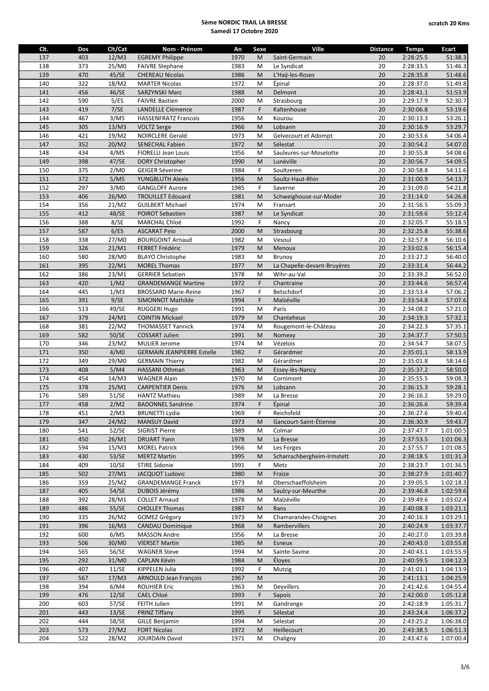| Clt. | Dos | Clt/Cat | Nom - Prénom                      | An           | Sexe | Ville                       | <b>Distance</b> | <b>Temps</b>           | Ecart     |
|------|-----|---------|-----------------------------------|--------------|------|-----------------------------|-----------------|------------------------|-----------|
| 137  | 403 | 12/M3   | <b>EGREMY Philippe</b>            | 1970         | M    | Saint-Germain               | 20              | 2:28:25.5              | 51:38.3   |
| 138  | 373 | 25/M0   | <b>FAIVRE Stephane</b>            | 1983         | M    | Le Syndicat                 | 20              | 2:28:33.5              | 51:46.3   |
| 139  | 470 | 45/SE   | <b>CHEREAU Nicolas</b>            | 1986         | M    | L'Haÿ-les-Roses             | 20              | 2:28:35.8              | 51:48.6   |
| 140  | 322 | 18/M2   | <b>MARTER Nicolas</b>             | 1972         | M    | Épinal                      | 20              | 2:28:37.0              | 51:49.8   |
| 141  | 456 | 46/SE   | <b>SARZYNSKI Marc</b>             | 1988         | M    | Delmont                     | 20              | 2:28:41.1              | 51:53.9   |
| 142  | 590 | 5/ES    | <b>FAIVRE Bastien</b>             | 2000         | M    | Strasbourg                  | 20              | 2:29:17.9              | 52:30.7   |
| 143  | 419 | 7/SE    | LANDELLE Clémence                 | 1987         | F    | Kaltenhouse                 | 20              | 2:30:06.8              | 53:19.6   |
| 144  | 467 | 3/M5    | <b>HASSENFRATZ Francois</b>       | 1956         | M    | Kourou                      | 20              | 2:30:13.3              | 53:26.1   |
| 145  | 305 | 13/M3   | <b>VOLTZ Serge</b>                | 1966         | M    | Lobsann                     | 20              | 2:30:16.9              | 53:29.7   |
| 146  | 421 | 19/M2   | <b>NOIRCLERE Gerald</b>           | 1973         | M    | Gelvecourt et Adompt        | 20              | 2:30:53.6              | 54:06.4   |
| 147  | 352 | 20/M2   | <b>SENECHAL Fabien</b>            | 1972         | M    | Sélestat                    | 20              | 2:30:54.2              | 54:07.0   |
| 148  | 434 | 4/M5    | <b>FIORELLI Jean Louis</b>        | 1956         | M    | Saulxures-sur-Moselotte     | 20              | 2:30:55.8              | 54:08.6   |
| 149  | 398 | 47/SE   | DORY Christopher                  | 1990         | M    | Lunéville                   | 20              | 2:30:56.7              | 54:09.5   |
| 150  | 375 | 2/M0    | <b>GEIGER Séverine</b>            | 1984         | F    | Soultzeren                  | 20              | 2:30:58.8              | 54:11.6   |
| 151  | 372 | 5/M5    | <b>YUNGBLUTH Alexis</b>           | 1956         | M    | Soultz-Haut-Rhin            | 20              | 2:31:00.9              | 54:13.7   |
| 152  | 297 | 3/M0    | <b>GANGLOFF Aurore</b>            |              | F    | Saverne                     | 20              | 2:31:09.0              | 54:21.8   |
| 153  | 406 | 26/M0   |                                   | 1985<br>1981 | M    |                             | 20              |                        | 54:26.8   |
| 154  | 356 | 21/M2   | <b>TROUILLET Edouard</b>          | 1974         |      | Schweighouse-sur-Moder      | 20              | 2:31:14.0<br>2:31:56.5 | 55:09.3   |
|      |     |         | <b>GUILBERT Michael</b>           |              | M    | Fransart                    |                 |                        |           |
| 155  | 412 | 48/SE   | POIROT Sebastien                  | 1987         | M    | Le Syndicat                 | 20              | 2:31:59.6              | 55:12.4   |
| 156  | 388 | 8/SE    | <b>MARCHAL Chloé</b>              | 1992         | F    | Nancy                       | 20              | 2:32:05.7              | 55:18.5   |
| 157  | 587 | 6/ES    | <b>ASCARAT Peio</b>               | 2000         | M    | Strasbourg                  | 20              | 2:32:25.8              | 55:38.6   |
| 158  | 338 | 27/M0   | <b>BOURGOINT Arnaud</b>           | 1982         | M    | Vesoul                      | 20              | 2:32:57.8              | 56:10.6   |
| 159  | 326 | 21/M1   | FERRET Frédéric                   | 1979         | M    | Menoux                      | 20              | 2:33:02.6              | 56:15.4   |
| 160  | 580 | 28/M0   | <b>BLAYO Christophe</b>           | 1983         | M    | Brunoy                      | 20              | 2:33:27.2              | 56:40.0   |
| 161  | 395 | 22/M1   | <b>MOREL Thomas</b>               | 1977         | M    | La Chapelle-devant-Bruyères | 20              | 2:33:31.4              | 56:44.2   |
| 162  | 386 | 23/M1   | <b>GERRIER Sebatien</b>           | 1978         | M    | Wihr-au-Val                 | 20              | 2:33:39.2              | 56:52.0   |
| 163  | 420 | 1/M2    | <b>GRANDEMANGE Martine</b>        | 1972         | F    | Chantraine                  | 20              | 2:33:44.6              | 56:57.4   |
| 164  | 445 | 1/M3    | <b>BROSSARD Marie-Reine</b>       | 1967         | F    | <b>Betschdorf</b>           | 20              | 2:33:53.4              | 57:06.2   |
| 165  | 391 | 9/SE    | SIMONNOT Mathilde                 | 1994         | F    | Malzéville                  | 20              | 2:33:54.8              | 57:07.6   |
| 166  | 513 | 49/SE   | RUGGERI Hugo                      | 1991         | M    | Paris                       | 20              | 2:34:08.2              | 57:21.0   |
| 167  | 379 | 24/M1   | <b>COINTIN Mickael</b>            | 1979         | M    | Chanteheux                  | 20              | 2:34:19.3              | 57:32.1   |
| 168  | 381 | 22/M2   | THOMASSET Yannick                 | 1974         | M    | Rougemont-le-Château        | 20              | 2:34:22.3              | 57:35.1   |
| 169  | 582 | 50/SE   | <b>COSSART Julien</b>             | 1991         | M    | Nomexy                      | 20              | 2:34:37.7              | 57:50.5   |
| 170  | 346 | 23/M2   | <b>MULIER Jerome</b>              | 1974         | M    | Vézelois                    | 20              | 2:34:54.7              | 58:07.5   |
| 171  | 350 | 4/M0    | <b>GERMAIN JEANPIERRE Estelle</b> | 1982         | F    | Gérardmer                   | 20              | 2:35:01.1              | 58:13.9   |
| 172  | 349 | 29/M0   | <b>GERMAIN Thierry</b>            | 1982         | M    | Gérardmer                   | 20              | 2:35:01.8              | 58:14.6   |
| 173  | 408 | 5/M4    | HASSANI Othman                    | 1963         | M    | Essey-lès-Nancy             | 20              | 2:35:37.2              | 58:50.0   |
| 174  | 454 | 14/M3   | <b>WAGNER Alain</b>               | 1970         | M    | Cornimont                   | 20              | 2:35:55.5              | 59:08.3   |
| 175  | 378 | 25/M1   | <b>CARPENTIER Denis</b>           | 1976         | M    | Lobsann                     | 20              | 2:36:15.3              | 59:28.1   |
| 176  | 589 | 51/SE   | <b>HANTZ Mathieu</b>              | 1989         | M    | La Bresse                   | 20              | 2:36:16.2              | 59:29.0   |
| 177  | 458 | 2/M2    | <b>BADONNEL Sandrine</b>          | 1974         | F    | Épinal                      | 20              | 2:36:26.6              | 59:39.4   |
| 178  | 451 | 2/M3    | <b>BRUNETTI Lydia</b>             | 1969         | F    | Reichsfeld                  | $\overline{20}$ | 2:36:27.6              | 59:40.4   |
| 179  | 347 | 24/M2   | <b>MANSUY David</b>               | 1973         | M    | Gancourt-Saint-Étienne      | 20              | 2:36:30.9              | 59:43.7   |
|      |     |         |                                   |              |      |                             |                 | 2:37:47.7              | 1:01:00.5 |
| 180  | 541 | 52/SE   | <b>SIGRIST Pierre</b>             | 1989         | M    | Colmar                      | 20              |                        |           |
| 181  | 450 | 26/M1   | <b>DRUART Yann</b>                | 1978         | M    | La Bresse                   | 20              | 2:37:53.5              | 1:01:06.3 |
| 182  | 594 | 15/M3   | <b>MOREL Patrick</b>              | 1966         | M    | Les Forges                  | 20              | 2:37:55.7              | 1:01:08.5 |
| 183  | 430 | 53/SE   | <b>MERTZ Martin</b>               | 1995         | M    | Scharrachbergheim-Irmstett  | 20              | 2:38:18.5              | 1:01:31.3 |
| 184  | 409 | 10/SE   | <b>STIRE Sidonie</b>              | 1991         | F    | Metz                        | 20              | 2:38:23.7              | 1:01:36.5 |
| 185  | 502 | 27/M1   | <b>JACQUOT Ludovic</b>            | 1980         | M    | Fraize                      | 20              | 2:38:27.9              | 1:01:40.7 |
| 186  | 359 | 25/M2   | <b>GRANDEMANGE Franck</b>         | 1973         | M    | Oberschaeffolsheim          | 20              | 2:39:05.5              | 1:02:18.3 |
| 187  | 405 | 54/SE   | DUBOIS Jérémy                     | 1986         | M    | Saulcy-sur-Meurthe          | 20              | 2:39:46.8              | 1:02:59.6 |
| 188  | 392 | 28/M1   | <b>COLLET Arnaud</b>              | 1978         | M    | Malzéville                  | 20              | 2:39:49.6              | 1:03:02.4 |
| 189  | 486 | 55/SE   | <b>CHOLLEY Thomas</b>             | 1987         | M    | Rans                        | 20              | 2:40:08.3              | 1:03:21.1 |
| 190  | 335 | 26/M2   | <b>GOMEZ Grégory</b>              | 1973         | M    | Chamarandes-Choignes        | 20              | 2:40:16.3              | 1:03:29.1 |
| 191  | 396 | 16/M3   | <b>CANDAU Dominique</b>           | 1968         | M    | Rambervillers               | 20              | 2:40:24.9              | 1:03:37.7 |
| 192  | 600 | 6/M5    | <b>MASSON Andre</b>               | 1956         | M    | La Bresse                   | 20              | 2:40:27.0              | 1:03:39.8 |
| 193  | 506 | 30/M0   | <b>VIERSET Martin</b>             | 1985         | M    | Esneux                      | 20              | 2:40:43.0              | 1:03:55.8 |
| 194  | 565 | 56/SE   | <b>WAGNER Steve</b>               | 1994         | M    | Sainte-Savine               | 20              | 2:40:43.1              | 1:03:55.9 |
| 195  | 292 | 31/M0   | <b>CAPLAN Kévin</b>               | 1984         | M    | Éloyes                      | 20              | 2:40:59.5              | 1:04:12.3 |
| 196  | 407 | 11/SE   | KIPPELEN Julia                    | 1992         | F    | Mutzig                      | 20              | 2:41:01.1              | 1:04:13.9 |
| 197  | 567 | 17/M3   | <b>ARNOULD Jean François</b>      | 1967         | M    |                             | 20              | 2:41:13.1              | 1:04:25.9 |
| 198  | 394 | 6/M4    | <b>ROUHIER Eric</b>               | 1963         | M    | <b>Deyvillers</b>           | 20              | 2:41:42.6              | 1:04:55.4 |
| 199  | 476 | 12/SE   | <b>CAEL Chloé</b>                 | 1993         | F    | Sapois                      | 20              | 2:42:00.0              | 1:05:12.8 |
| 200  | 603 | 57/SE   | FEITH Julien                      | 1991         | M    | Gandrange                   | 20              | 2:42:18.9              | 1:05:31.7 |
| 201  | 443 | 13/SE   | PRINZ Tiffany                     | 1995         | F    | Sélestat                    | 20              | 2:43:24.4              | 1:06:37.2 |
| 202  | 444 | 58/SE   | <b>GILLE Benjamin</b>             | 1994         | M    | Sélestat                    | 20              | 2:43:25.2              | 1:06:38.0 |
| 203  | 573 | 27/M2   | <b>FORT Nicolas</b>               | 1972         | M    | Heillecourt                 | 20              | 2:43:38.5              | 1:06:51.3 |
| 204  | 522 | 28/M2   | <b>JOURDAIN David</b>             | 1971         | М    | Chaligny                    | 20              | 2:43:47.6              | 1:07:00.4 |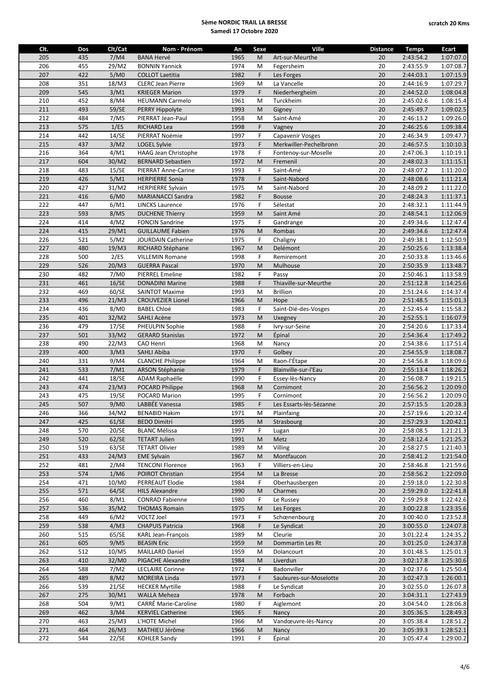| Clt. | Dos | Clt/Cat | Nom - Prénom                | An   | Sexe                                                                                                       | Ville                   | <b>Distance</b> | <b>Temps</b> | Ecart     |
|------|-----|---------|-----------------------------|------|------------------------------------------------------------------------------------------------------------|-------------------------|-----------------|--------------|-----------|
| 205  | 435 | 7/M4    | <b>BANA Hervé</b>           | 1965 | M                                                                                                          | Art-sur-Meurthe         | 20              | 2:43:54.2    | 1:07:07.0 |
| 206  | 455 | 29/M2   | <b>BONNIN Yannick</b>       | 1974 | M                                                                                                          | Fegersheim              | 20              | 2:43:55.9    | 1:07:08.7 |
| 207  | 422 | 5/M0    | <b>COLLOT Laetitia</b>      | 1982 | F                                                                                                          | Les Forges              | 20              | 2:44:03.1    | 1:07:15.9 |
| 208  | 351 | 18/M3   | <b>CLERC Jean Pierre</b>    | 1969 | M                                                                                                          | La Vancelle             | 20              | 2:44:16.9    | 1:07:29.7 |
| 209  | 545 | 3/M1    | <b>KRIEGER Marion</b>       | 1979 | F                                                                                                          | Niederhergheim          | 20              | 2:44:52.0    | 1:08:04.8 |
| 210  | 452 | 8/M4    | <b>HEUMANN Carmelo</b>      | 1961 | M                                                                                                          | Turckheim               | 20              | 2:45:02.6    | 1:08:15.4 |
| 211  | 493 | 59/SE   | PERRY Hippolyte             | 1993 | M                                                                                                          | Gigney                  | 20              | 2:45:49.7    | 1:09:02.5 |
| 212  | 484 | 7/M5    | PIERRAT Jean-Paul           | 1958 | M                                                                                                          | Saint-Amé               | 20              | 2:46:13.2    | 1:09:26.0 |
| 213  | 575 | 1/ES    | RICHARD Lea                 | 1998 | F                                                                                                          | Vagney                  | 20              | 2:46:25.6    | 1:09:38.4 |
| 214  | 442 | 14/SE   | PIERRAT Noémie              | 1997 | F                                                                                                          | Capavenir Vosges        | 20              | 2:46:34.9    | 1:09:47.7 |
| 215  | 437 | 3/M2    | LOGEL Sylvie                | 1973 | F                                                                                                          | Merkwiller-Pechelbronn  | 20              | 2:46:57.5    | 1:10:10.3 |
| 216  | 364 | 4/M1    | <b>HAAG Jean Christophe</b> | 1978 | F                                                                                                          | Fontenoy-sur-Moselle    | 20              | 2:47:06.3    | 1:10:19.1 |
| 217  | 604 | 30/M2   | <b>BERNARD Sebastien</b>    | 1972 | M                                                                                                          | Fremenil                | 20              | 2:48:02.3    | 1:11:15.1 |
| 218  | 483 | 15/SE   | PIERRAT Anne-Carine         | 1993 | F                                                                                                          | Saint-Amé               | 20              | 2:48:07.2    | 1:11:20.0 |
| 219  | 426 | 5/M1    | <b>HERPIERRE Sonia</b>      | 1978 | F                                                                                                          | Saint-Nabord            | 20              | 2:48:08.6    | 1:11:21.4 |
| 220  | 427 | 31/M2   | <b>HERPIERRE Sylvain</b>    | 1975 | M                                                                                                          | Saint-Nabord            | 20              | 2:48:09.2    | 1:11:22.0 |
| 221  | 416 | 6/M0    | <b>MARIANACCI Sandra</b>    | 1982 | $\mathsf F$                                                                                                | <b>Bousse</b>           | 20              | 2:48:24.3    | 1:11:37.1 |
| 222  | 447 | 6/M1    | <b>LINCKS Laurence</b>      | 1976 | F                                                                                                          | Sélestat                | 20              | 2:48:32.1    | 1:11:44.9 |
| 223  | 593 | 8/M5    |                             | 1959 | M                                                                                                          |                         | 20              |              | 1:12:06.9 |
|      |     |         | <b>DUCHENE Thierry</b>      |      |                                                                                                            | Saint Amé               |                 | 2:48:54.1    |           |
| 224  | 414 | 4/M2    | <b>FONCIN Sandrine</b>      | 1975 | F                                                                                                          | Gandrange               | 20              | 2:49:34.6    | 1:12:47.4 |
| 224  | 415 | 29/M1   | <b>GUILLAUME Fabien</b>     | 1976 | M                                                                                                          | Rombas                  | 20              | 2:49:34.6    | 1:12:47.4 |
| 226  | 521 | 5/M2    | JOURDAIN Catherine          | 1975 | F                                                                                                          | Chaligny                | 20              | 2:49:38.1    | 1:12:50.9 |
| 227  | 480 | 19/M3   | RICHARD Stéphane            | 1967 | M                                                                                                          | Delémont                | 20              | 2:50:25.6    | 1:13:38.4 |
| 228  | 500 | 2/ES    | <b>VILLEMIN Romane</b>      | 1998 | F                                                                                                          | Remiremont              | 20              | 2:50:33.8    | 1:13:46.6 |
| 229  | 526 | 20/M3   | <b>GUERRA Pascal</b>        | 1970 | M                                                                                                          | Mulhouse                | 20              | 2:50:35.9    | 1:13:48.7 |
| 230  | 482 | 7/M0    | <b>PIERREL Emeline</b>      | 1982 | F                                                                                                          | Passy                   | 20              | 2:50:46.1    | 1:13:58.9 |
| 231  | 461 | 16/SE   | <b>DONADINI Marine</b>      | 1988 | F                                                                                                          | Thiaville-sur-Meurthe   | 20              | 2:51:12.8    | 1:14:25.6 |
| 232  | 469 | 60/SE   | <b>SAINTOT Maxime</b>       | 1993 | M                                                                                                          | <b>Brillion</b>         | 20              | 2:51:24.6    | 1:14:37.4 |
| 233  | 496 | 21/M3   | <b>CROUVEZIER Lionel</b>    | 1966 | M                                                                                                          | Hope                    | 20              | 2:51:48.5    | 1:15:01.3 |
| 234  | 436 | 8/M0    | <b>BABEL Chloé</b>          | 1983 | F                                                                                                          | Saint-Dié-des-Vosges    | 20              | 2:52:45.4    | 1:15:58.2 |
| 235  | 401 | 32/M2   | <b>SAHLI Acène</b>          | 1973 | M                                                                                                          | Uxegney                 | 20              | 2:52:55.1    | 1:16:07.9 |
| 236  | 479 | 17/SE   | PHEULPIN Sophie             | 1988 | F                                                                                                          | Ivry-sur-Seine          | 20              | 2:54:20.6    | 1:17:33.4 |
| 237  | 501 | 33/M2   | <b>GERARD Stanislas</b>     | 1972 | M                                                                                                          | Épinal                  | 20              | 2:54:36.4    | 1:17:49.2 |
| 238  | 490 | 22/M3   | CAO Henri                   | 1968 | M                                                                                                          | Nancy                   | 20              | 2:54:38.6    | 1:17:51.4 |
| 239  | 400 | 3/M3    | <b>SAHLI Abiba</b>          | 1970 | F                                                                                                          | Golbey                  | 20              | 2:54:55.9    | 1:18:08.7 |
| 240  | 331 | 9/M4    | <b>CLANCHE Philippe</b>     | 1964 | M                                                                                                          | Raon-l'Étape            | 20              | 2:54:56.8    | 1:18:09.6 |
| 241  | 533 | 7/M1    | ARSON Stéphanie             | 1979 | F                                                                                                          | Blainville-sur-l'Eau    | 20              | 2:55:13.4    | 1:18:26.2 |
| 242  | 441 | 18/SE   | ADAM Raphaëlle              | 1990 | F                                                                                                          | Essey-lès-Nancy         | 20              | 2:56:08.7    | 1:19:21.5 |
| 243  | 474 | 23/M3   | POCARD Philippe             | 1968 | M                                                                                                          | Cornimont               | 20              | 2:56:56.2    | 1:20:09.0 |
| 243  | 475 | 19/SE   | <b>POCARD Marion</b>        | 1995 | F                                                                                                          | Cornimont               | 20              | 2:56:56.2    | 1:20:09.0 |
| 245  | 507 | 9/M0    | LABBÉE Vanessa              | 1985 | F                                                                                                          | Les Essarts-lès-Sézanne | 20              | 2:57:15.5    | 1:20:28.3 |
| 246  | 366 | 34/M2   | <b>BENABID Hakim</b>        | 1971 | $\mathsf{M}% _{T}=\mathsf{M}_{T}\!\left( a,b\right) ,\ \mathsf{M}_{T}=\mathsf{M}_{T}\!\left( a,b\right) ,$ | Plainfaing              | 20              | 2:57:19.6    | 1:20:32.4 |
| 247  | 425 | 61/SE   | <b>BEDO Dimitri</b>         | 1995 | M                                                                                                          | Strasbourg              | 20              | 2:57:29.3    | 1:20:42.1 |
| 248  | 570 | 20/SE   | <b>BLANC Mélissa</b>        | 1997 | F                                                                                                          | Lugan                   | 20              | 2:58:08.5    | 1:21:21.3 |
| 249  | 520 | 62/SE   | <b>TETART Julien</b>        | 1991 | M                                                                                                          | Metz                    | 20              | 2:58:12.4    | 1:21:25.2 |
| 250  | 519 | 63/SE   | <b>TETART Olivier</b>       | 1989 | M                                                                                                          | Villing                 | 20              | 2:58:27.5    | 1:21:40.3 |
| 251  | 433 | 24/M3   | <b>EME Sylvain</b>          | 1967 | M                                                                                                          | Montfaucon              | 20              | 2:58:41.2    | 1:21:54.0 |
| 252  | 481 | 2/M4    | <b>TENCONI Florence</b>     | 1963 | F                                                                                                          | Villiers-en-Lieu        | 20              | 2:58:46.8    | 1:21:59.6 |
| 253  | 574 | 1/M6    | POIROT Christian            | 1954 | M                                                                                                          | La Bresse               | 20              | 2:58:56.2    | 1:22:09.0 |
| 254  | 471 | 10/M0   | PERREAUT Elodie             | 1984 | F                                                                                                          | Oberhausbergen          | 20              | 2:59:18.0    | 1:22:30.8 |
| 255  | 571 | 64/SE   | <b>HILS Alexandre</b>       | 1990 | M                                                                                                          | Charmes                 | 20              | 2:59:29.0    | 1:22:41.8 |
| 256  | 460 | 8/M1    | <b>CONRAD Fabienne</b>      | 1980 | F                                                                                                          | Le Russev               | 20              | 2:59:29.8    | 1:22:42.6 |
|      |     |         |                             |      |                                                                                                            | Les Forges              |                 | 3:00:22.8    |           |
| 257  | 536 | 35/M2   | <b>THOMAS Romain</b>        | 1975 | M                                                                                                          |                         | 20              |              | 1:23:35.6 |
| 258  | 449 | 6/M2    | VOLTZ Joel                  | 1973 | F                                                                                                          | Schœnenbourg            | 20              | 3:00:40.0    | 1:23:52.8 |
| 259  | 538 | 4/M3    | <b>CHAPUIS Patricia</b>     | 1968 | F                                                                                                          | Le Syndicat             | 20              | 3:00:55.0    | 1:24:07.8 |
| 260  | 515 | 65/SE   | KARL Jean-François          | 1989 | M                                                                                                          | Cleurie                 | 20              | 3:01:22.4    | 1:24:35.2 |
| 261  | 605 | 9/M5    | <b>BEASIN Eric</b>          | 1959 | M                                                                                                          | Dommartin Les Rt        | 20              | 3:01:25.0    | 1:24:37.8 |
| 262  | 512 | 10/M5   | <b>MAILLARD Daniel</b>      | 1959 | M                                                                                                          | Dolancourt              | 20              | 3:01:48.5    | 1:25:01.3 |
| 263  | 410 | 32/M0   | PIGACHE Alexandre           | 1984 | M                                                                                                          | Liverdun                | 20              | 3:02:17.8    | 1:25:30.6 |
| 264  | 588 | 7/M2    | <b>LECLAIRE Corinne</b>     | 1972 | F                                                                                                          | Badonviller             | 20              | 3:02:37.6    | 1:25:50.4 |
| 265  | 489 | 8/M2    | MOREIRA Linda               | 1973 | F                                                                                                          | Saulxures-sur-Moselotte | 20              | 3:02:47.3    | 1:26:00.1 |
| 266  | 539 | 21/SE   | <b>HECKER Myrtille</b>      | 1988 | F                                                                                                          | Le Syndicat             | 20              | 3:02:55.0    | 1:26:07.8 |
| 267  | 275 | 30/M1   | <b>WALLA Meheza</b>         | 1978 | M                                                                                                          | Forbach                 | 20              | 3:04:31.1    | 1:27:43.9 |
| 268  | 504 | 9/M1    | <b>CARRÉ Marie-Caroline</b> | 1980 | F                                                                                                          | Aiglemont               | 20              | 3:04:54.0    | 1:28:06.8 |
| 269  | 462 | 3/M4    | <b>KERVIEL Catherine</b>    | 1965 | F                                                                                                          | Nancy                   | 20              | 3:05:36.5    | 1:28:49.3 |
| 270  | 463 | 25/M3   | L'HOTE Michel               | 1966 | M                                                                                                          | Vandœuvre-lès-Nancy     | 20              | 3:05:38.4    | 1:28:51.2 |
| 271  | 464 | 26/M3   | MATHIEU Jérôme              | 1966 | M                                                                                                          | Nancy                   | 20              | 3:05:39.3    | 1:28:52.1 |
| 272  | 544 | 22/SE   | <b>KOHLER Sandy</b>         | 1991 | F.                                                                                                         | Épinal                  | 20              | 3:05:47.4    | 1:29:00.2 |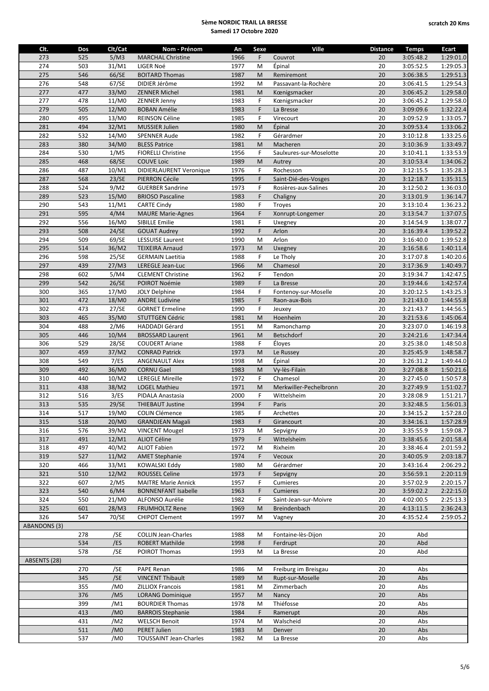| Clt.                | Dos | Clt/Cat         | Nom - Prénom                  | An   | Sexe        | Ville                   | <b>Distance</b> | <b>Temps</b> | Ecart     |
|---------------------|-----|-----------------|-------------------------------|------|-------------|-------------------------|-----------------|--------------|-----------|
| 273                 | 525 | 5/M3            | <b>MARCHAL Christine</b>      | 1966 | F           | Couvrot                 | 20              | 3:05:48.2    | 1:29:01.0 |
| 274                 | 503 | 31/M1           | LIGER Noé                     | 1977 | M           | Épinal                  | 20              | 3:05:52.5    | 1:29:05.3 |
| 275                 | 546 | 66/SE           | <b>BOITARD Thomas</b>         | 1987 | M           | Remiremont              | 20              | 3:06:38.5    | 1:29:51.3 |
| 276                 | 548 | 67/SE           | DIDIER Jérôme                 | 1992 | M           | Passavant-la-Rochère    | 20              | 3:06:41.5    | 1:29:54.3 |
| 277                 | 477 | 33/M0           | <b>ZENNER Michel</b>          | 1981 | M           | Kœnigsmacker            | 20              | 3:06:45.2    | 1:29:58.0 |
| 277                 | 478 | 11/M0           | ZENNER Jenny                  | 1983 | F           | Kœnigsmacker            | 20              | 3:06:45.2    | 1:29:58.0 |
| 279                 | 505 | 12/M0           | <b>BOBAN Amélie</b>           | 1983 | F           | La Bresse               | 20              | 3:09:09.6    | 1:32:22.4 |
| 280                 | 495 | 13/M0           | REINSON Céline                | 1985 | $\mathsf F$ | Virecourt               | 20              | 3:09:52.9    | 1:33:05.7 |
| 281                 | 494 | 32/M1           | <b>MUSSIER Julien</b>         | 1980 | M           | Épinal                  | 20              | 3:09:53.4    | 1:33:06.2 |
| 282                 | 532 | 14/M0           | <b>SPENNER Aude</b>           | 1982 | F           | Gérardmer               | 20              | 3:10:12.8    | 1:33:25.6 |
| 283                 | 380 | 34/M0           | <b>BLESS Patrice</b>          | 1981 | M           | Macheren                | 20              | 3:10:36.9    | 1:33:49.7 |
| 284                 | 530 | 1/M5            | <b>FIORELLI Christine</b>     | 1956 | F           | Saulxures-sur-Moselotte | 20              | 3:10:41.1    | 1:33:53.9 |
| 285                 | 468 | 68/SE           | <b>COUVE Loic</b>             | 1989 | M           | Autrey                  | 20              | 3:10:53.4    | 1:34:06.2 |
| 286                 | 487 | 10/M1           | DIDIERLAURENT Veronique       | 1976 | F           | Rochesson               | 20              | 3:12:15.5    | 1:35:28.3 |
| 287                 | 568 | 23/SE           | PIERRON Cécile                | 1995 | F           | Saint-Dié-des-Vosges    | 20              | 3:12:18.7    | 1:35:31.5 |
| 288                 | 524 | 9/M2            | <b>GUERBER Sandrine</b>       | 1973 | $\mathsf F$ | Rosières-aux-Salines    | 20              | 3:12:50.2    | 1:36:03.0 |
| 289                 | 523 | 15/M0           | <b>BRIOSO Pascaline</b>       | 1983 | $\mathsf F$ | Chaligny                | 20              | 3:13:01.9    | 1:36:14.7 |
| 290                 | 543 | 11/M1           | <b>CARTE Cindy</b>            | 1980 | $\mathsf F$ | Troyes                  | 20              | 3:13:10.4    | 1:36:23.2 |
| 291                 | 595 | 4/M4            | <b>MAURE Marie-Agnes</b>      | 1964 | F           | Xonrupt-Longemer        | 20              | 3:13:54.7    | 1:37:07.5 |
| 292                 | 556 | 16/M0           | <b>SIBILLE Emilie</b>         | 1981 | F           | Uxegney                 | 20              | 3:14:54.9    | 1:38:07.7 |
| 293                 | 508 | 24/SE           | <b>GOUAT Audrey</b>           | 1992 | F           | Arlon                   | 20              | 3:16:39.4    | 1:39:52.2 |
| 294                 | 509 | 69/SE           | <b>LESSUISE Laurent</b>       | 1990 | M           | Arlon                   | 20              | 3:16:40.0    | 1:39:52.8 |
| 295                 | 514 | 36/M2           | <b>TEIXEIRA Arnaud</b>        | 1973 | M           | Uxegney                 | 20              | 3:16:58.6    | 1:40:11.4 |
| 296                 | 598 | 25/SE           | <b>GERMAIN Laetitia</b>       | 1988 | F           | Le Tholy                | 20              | 3:17:07.8    | 1:40:20.6 |
| 297                 | 439 | 27/M3           | LEREGLE Jean-Luc              | 1966 | M           | Chamesol                | 20              | 3:17:36.9    | 1:40:49.7 |
| 298                 | 602 | 5/M4            | <b>CLEMENT Christine</b>      | 1962 | F           | Tendon                  | 20              | 3:19:34.7    | 1:42:47.5 |
| 299                 | 542 | 26/SE           | POIROT Noémie                 | 1989 | F           | La Bresse               | 20              | 3:19:44.6    | 1:42:57.4 |
| 300                 | 365 | 17/M0           | JOLY Delphine                 | 1984 | F           | Fontenoy-sur-Moselle    | 20              | 3:20:12.5    | 1:43:25.3 |
| 301                 | 472 | 18/M0           | <b>ANDRE Ludivine</b>         | 1985 | F           | Raon-aux-Bois           | 20              | 3:21:43.0    | 1:44:55.8 |
| 302                 | 473 | 27/SE           | <b>GORNET Ermeline</b>        | 1990 | F           | Jeuxey                  | 20              | 3:21:43.7    | 1:44:56.5 |
| 303                 | 465 | 35/M0           | STUTTGEN Cédric               | 1981 | M           | Hoenheim                | 20              | 3:21:53.6    | 1:45:06.4 |
| 304                 | 488 | 2/M6            | <b>HADDADI Gérard</b>         | 1951 | M           | Ramonchamp              | 20              | 3:23:07.0    | 1:46:19.8 |
| 305                 | 446 | 10/M4           | <b>BROSSARD Laurent</b>       | 1961 | M           | Betschdorf              | 20              | 3:24:21.6    | 1:47:34.4 |
| 306                 | 529 | 28/SE           | <b>COUDERT Ariane</b>         | 1988 | F           | Éloyes                  | 20              | 3:25:38.0    | 1:48:50.8 |
| 307                 | 459 | 37/M2           | <b>CONRAD Patrick</b>         | 1973 | M           | Le Russey               | 20              | 3:25:45.9    | 1:48:58.7 |
| 308                 | 549 | 7/ES            | <b>ANGENAULT Alex</b>         | 1998 | M           | Épinal                  | 20              | 3:26:31.2    | 1:49:44.0 |
| 309                 | 492 | 36/M0           | <b>CORNU Gael</b>             | 1983 | M           | Vy-lès-Filain           | 20              | 3:27:08.8    | 1:50:21.6 |
| 310                 | 440 | 10/M2           | <b>LEREGLE Mireille</b>       | 1972 | F           | Chamesol                | 20              | 3:27:45.0    | 1:50:57.8 |
| 311                 | 438 | 38/M2           | <b>LOGEL Mathieu</b>          | 1971 | M           | Merkwiller-Pechelbronn  | 20              | 3:27:49.9    | 1:51:02.7 |
| 312                 | 516 | 3/ES            | PIDALA Anastasia              | 2000 | $\mathsf F$ | Wittelsheim             | 20              | 3:28:08.9    | 1:51:21.7 |
| 313                 | 535 | 29/SE           | <b>THIEBAUT Justine</b>       | 1994 | F           | Paris                   | 20              | 3:32:48.5    | 1:56:01.3 |
| 314                 | 517 | 19/M0           | <b>COLIN Clémence</b>         | 1985 | $\mathsf F$ | Archettes               | $\overline{20}$ | 3:34:15.2    | 1:57:28.0 |
| 315                 | 518 | 20/M0           | <b>GRANDJEAN Magali</b>       | 1983 | F.          | Girancourt              | 20              | 3:34:16.1    | 1:57:28.9 |
| 316                 | 576 | 39/M2           | <b>VINCENT Mougel</b>         | 1973 | M           | Sepvigny                | 20              | 3:35:55.9    | 1:59:08.7 |
| 317                 | 491 | 12/M1           | <b>ALIOT Céline</b>           | 1979 | F           | Wittelsheim             | 20              | 3:38:45.6    | 2:01:58.4 |
| 318                 | 497 | 40/M2           | <b>ALIOT Fabien</b>           | 1972 | M           | Rixheim                 | 20              | 3:38:46.4    | 2:01:59.2 |
| 319                 | 527 | 11/M2           | <b>AMET Stephanie</b>         | 1974 | F           | Vecoux                  | 20              | 3:40:05.9    | 2:03:18.7 |
| 320                 | 466 | 33/M1           | KOWALSKI Eddy                 | 1980 | M           | Gérardmer               | 20              | 3:43:16.4    | 2:06:29.2 |
| 321                 | 510 | 12/M2           | ROUSSEL Celine                | 1973 | F           | Sepvigny                | 20              | 3:56:59.1    | 2:20:11.9 |
| 322                 | 607 | 2/M5            | <b>MAITRE Marie Annick</b>    | 1957 | F           | Cumieres                | 20              | 3:57:02.9    | 2:20:15.7 |
| 323                 | 540 | 6/M4            | <b>BONNENFANT Isabelle</b>    | 1963 | F           | <b>Cumieres</b>         | 20              | 3:59:02.2    | 2:22:15.0 |
| 324                 | 550 | 21/M0           | ALFONSO Aurélie               | 1982 | F           | Saint-Jean-sur-Moivre   | 20              | 4:02:00.5    | 2:25:13.3 |
| 325                 | 601 | 28/M3           | <b>FRUMHOLTZ Rene</b>         | 1969 | M           | Breindenbach            | 20              | 4:13:11.5    | 2:36:24.3 |
| 326                 | 547 | 70/SE           | <b>CHIPOT Clement</b>         | 1997 | M           | Vagney                  | 20              | 4:35:52.4    | 2:59:05.2 |
| <b>ABANDONS (3)</b> |     |                 |                               |      |             |                         |                 |              |           |
|                     | 278 | /SE             | <b>COLLIN Jean-Charles</b>    | 1988 | M           | Fontaine-lès-Dijon      | 20              | Abd          |           |
|                     | 534 | /ES             | <b>ROBERT Mathilde</b>        | 1998 | F           | Ferdrupt                | 20              | Abd          |           |
|                     | 578 | /SE             | POIROT Thomas                 | 1993 | M           | La Bresse               | 20              | Abd          |           |
| ABSENTS (28)        |     |                 |                               |      |             |                         |                 |              |           |
|                     | 270 | /SE             | PAPE Renan                    | 1986 | M           | Freiburg im Breisgau    | 20              | Abs          |           |
|                     | 345 | /SE             | <b>VINCENT Thibault</b>       | 1989 | M           | Rupt-sur-Moselle        | 20              | Abs          |           |
|                     | 355 | /M0             | <b>ZILLIOX Francois</b>       | 1981 | M           | Zimmerbach              | 20              | Abs          |           |
|                     | 376 | /M5             | <b>LORANG Dominique</b>       | 1957 | M           | Nancy                   | 20              | Abs          |           |
|                     | 399 | /M1             | <b>BOURDIER Thomas</b>        | 1978 | M           | Thiéfosse               | 20              | Abs          |           |
|                     | 413 | /M <sub>0</sub> | <b>BARROIS Stephanie</b>      | 1984 | F           | Ramerupt                | 20              | Abs          |           |
|                     | 431 | /M2             | <b>WELSCH Benoit</b>          | 1974 | M           | Walscheid               | 20              | Abs          |           |
|                     | 511 | /M <sub>0</sub> | PERET Julien                  | 1983 | M           | Denver                  | 20              | Abs          |           |
|                     | 537 | /M <sub>0</sub> | <b>TOUSSAINT Jean-Charles</b> | 1982 | M           | La Bresse               | 20              | Abs          |           |